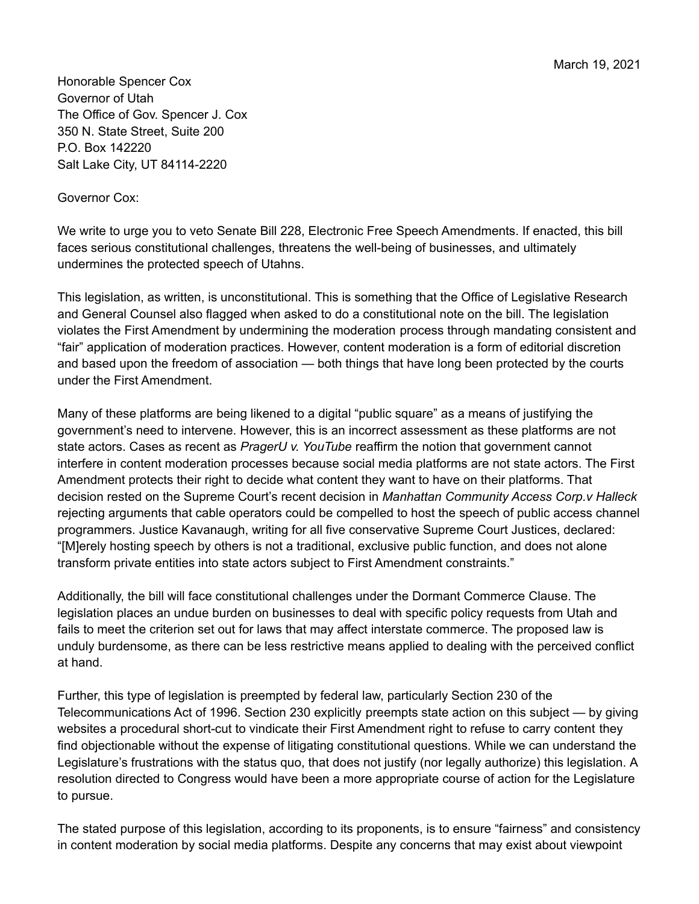March 19, 2021

Honorable Spencer Cox Governor of Utah The Office of Gov. Spencer J. Cox 350 N. State Street, Suite 200 P.O. Box 142220 Salt Lake City, UT 84114-2220

## Governor Cox:

We write to urge you to veto Senate Bill 228, Electronic Free Speech Amendments. If enacted, this bill faces serious constitutional challenges, threatens the well-being of businesses, and ultimately undermines the protected speech of Utahns.

This legislation, as written, is unconstitutional. This is something that the Office of Legislative Research and General Counsel also flagged when asked to do a constitutional note on the bill. The legislation violates the First Amendment by undermining the moderation process through mandating consistent and "fair" application of moderation practices. However, content moderation is a form of editorial discretion and based upon the freedom of association — both things that have long been protected by the courts under the First Amendment.

Many of these platforms are being likened to a digital "public square" as a means of justifying the government's need to intervene. However, this is an incorrect assessment as these platforms are not state actors. Cases as recent as *PragerU v. YouTube* reaffirm the notion that government cannot interfere in content moderation processes because social media platforms are not state actors. The First Amendment protects their right to decide what content they want to have on their platforms. That decision rested on the Supreme Court's recent decision in *Manhattan Community Access Corp.v Halleck* rejecting arguments that cable operators could be compelled to host the speech of public access channel programmers. Justice Kavanaugh, writing for all five conservative Supreme Court Justices, declared: "[M]erely hosting speech by others is not a traditional, exclusive public function, and does not alone transform private entities into state actors subject to First Amendment constraints."

Additionally, the bill will face constitutional challenges under the Dormant Commerce Clause. The legislation places an undue burden on businesses to deal with specific policy requests from Utah and fails to meet the criterion set out for laws that may affect interstate commerce. The proposed law is unduly burdensome, as there can be less restrictive means applied to dealing with the perceived conflict at hand.

Further, this type of legislation is preempted by federal law, particularly Section 230 of the Telecommunications Act of 1996. Section 230 explicitly preempts state action on this subject — by giving websites a procedural short-cut to vindicate their First Amendment right to refuse to carry content they find objectionable without the expense of litigating constitutional questions. While we can understand the Legislature's frustrations with the status quo, that does not justify (nor legally authorize) this legislation. A resolution directed to Congress would have been a more appropriate course of action for the Legislature to pursue.

The stated purpose of this legislation, according to its proponents, is to ensure "fairness" and consistency in content moderation by social media platforms. Despite any concerns that may exist about viewpoint